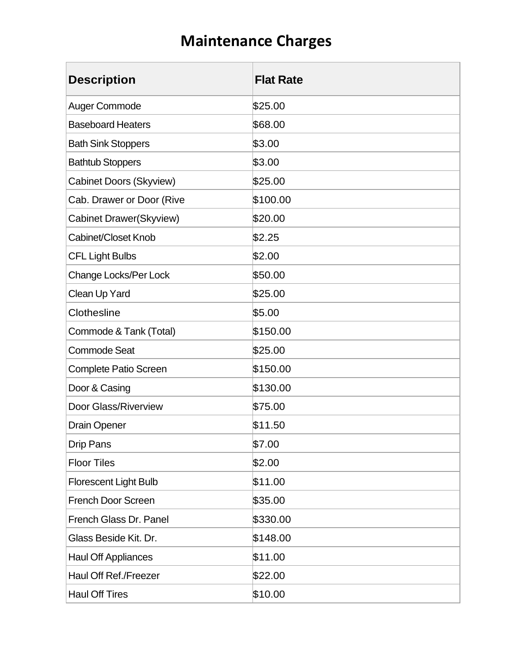| <b>Description</b>             | <b>Flat Rate</b> |
|--------------------------------|------------------|
| Auger Commode                  | \$25.00          |
| <b>Baseboard Heaters</b>       | \$68.00          |
| <b>Bath Sink Stoppers</b>      | \$3.00           |
| <b>Bathtub Stoppers</b>        | \$3.00           |
| <b>Cabinet Doors (Skyview)</b> | \$25.00          |
| Cab. Drawer or Door (Rive      | \$100.00         |
| Cabinet Drawer(Skyview)        | \$20.00          |
| Cabinet/Closet Knob            | \$2.25           |
| <b>CFL Light Bulbs</b>         | \$2.00           |
| Change Locks/Per Lock          | \$50.00          |
| Clean Up Yard                  | \$25.00          |
| Clothesline                    | \$5.00           |
| Commode & Tank (Total)         | \$150.00         |
| <b>Commode Seat</b>            | \$25.00          |
| <b>Complete Patio Screen</b>   | \$150.00         |
| Door & Casing                  | \$130.00         |
| <b>Door Glass/Riverview</b>    | \$75.00          |
| <b>Drain Opener</b>            | \$11.50          |
| <b>Drip Pans</b>               | \$7.00           |
| <b>Floor Tiles</b>             | \$2.00           |
| <b>Florescent Light Bulb</b>   | \$11.00          |
| <b>French Door Screen</b>      | \$35.00          |
| French Glass Dr. Panel         | \$330.00         |
| Glass Beside Kit. Dr.          | \$148.00         |
| <b>Haul Off Appliances</b>     | \$11.00          |
| Haul Off Ref./Freezer          | \$22.00          |
| <b>Haul Off Tires</b>          | \$10.00          |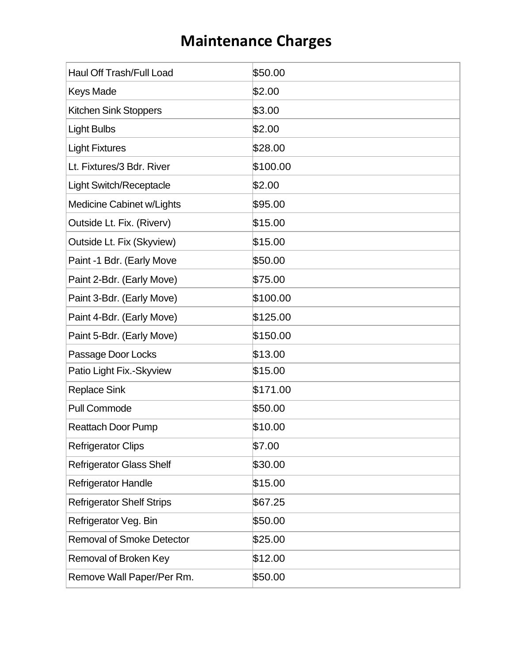| <b>Haul Off Trash/Full Load</b>  | \$50.00  |
|----------------------------------|----------|
| <b>Keys Made</b>                 | \$2.00   |
| <b>Kitchen Sink Stoppers</b>     | \$3.00   |
| <b>Light Bulbs</b>               | \$2.00   |
| <b>Light Fixtures</b>            | \$28.00  |
| Lt. Fixtures/3 Bdr. River        | \$100.00 |
| <b>Light Switch/Receptacle</b>   | \$2.00   |
| Medicine Cabinet w/Lights        | \$95.00  |
| Outside Lt. Fix. (Riverv)        | \$15.00  |
| Outside Lt. Fix (Skyview)        | \$15.00  |
| Paint -1 Bdr. (Early Move        | \$50.00  |
| Paint 2-Bdr. (Early Move)        | \$75.00  |
| Paint 3-Bdr. (Early Move)        | \$100.00 |
| Paint 4-Bdr. (Early Move)        | \$125.00 |
| Paint 5-Bdr. (Early Move)        | \$150.00 |
| Passage Door Locks               | \$13.00  |
| Patio Light Fix.-Skyview         | \$15.00  |
| <b>Replace Sink</b>              | \$171.00 |
| <b>Pull Commode</b>              | \$50.00  |
| <b>Reattach Door Pump</b>        | \$10.00  |
| <b>Refrigerator Clips</b>        | \$7.00   |
| <b>Refrigerator Glass Shelf</b>  | \$30.00  |
| <b>Refrigerator Handle</b>       | \$15.00  |
| <b>Refrigerator Shelf Strips</b> | \$67.25  |
| Refrigerator Veg. Bin            | \$50.00  |
| <b>Removal of Smoke Detector</b> | \$25.00  |
| <b>Removal of Broken Key</b>     | \$12.00  |
| Remove Wall Paper/Per Rm.        | \$50.00  |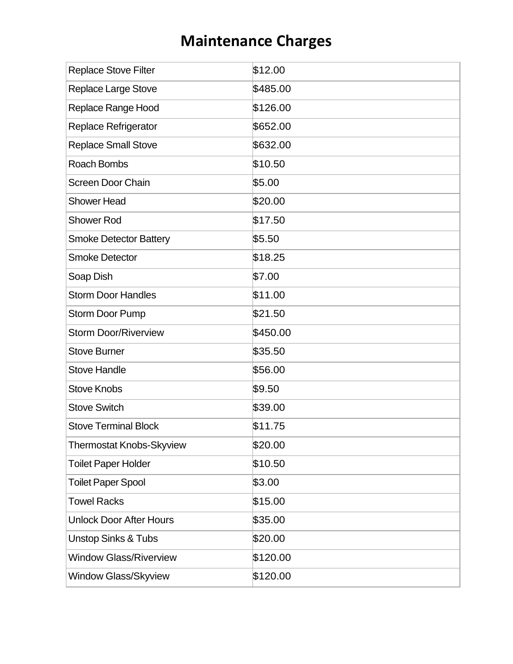| <b>Replace Stove Filter</b>     | \$12.00  |
|---------------------------------|----------|
| <b>Replace Large Stove</b>      | \$485.00 |
| Replace Range Hood              | \$126.00 |
| <b>Replace Refrigerator</b>     | \$652.00 |
| <b>Replace Small Stove</b>      | \$632.00 |
| <b>Roach Bombs</b>              | \$10.50  |
| <b>Screen Door Chain</b>        | \$5.00   |
| <b>Shower Head</b>              | \$20.00  |
| <b>Shower Rod</b>               | \$17.50  |
| <b>Smoke Detector Battery</b>   | \$5.50   |
| <b>Smoke Detector</b>           | \$18.25  |
| Soap Dish                       | \$7.00   |
| <b>Storm Door Handles</b>       | \$11.00  |
| <b>Storm Door Pump</b>          | \$21.50  |
| <b>Storm Door/Riverview</b>     | \$450.00 |
| <b>Stove Burner</b>             | \$35.50  |
| <b>Stove Handle</b>             | \$56.00  |
| <b>Stove Knobs</b>              | \$9.50   |
| <b>Stove Switch</b>             | \$39.00  |
| <b>Stove Terminal Block</b>     | \$11.75  |
| <b>Thermostat Knobs-Skyview</b> | \$20.00  |
| <b>Toilet Paper Holder</b>      | \$10.50  |
| <b>Toilet Paper Spool</b>       | \$3.00   |
| <b>Towel Racks</b>              | \$15.00  |
| <b>Unlock Door After Hours</b>  | \$35.00  |
| <b>Unstop Sinks &amp; Tubs</b>  | \$20.00  |
| <b>Window Glass/Riverview</b>   | \$120.00 |
| Window Glass/Skyview            | \$120.00 |